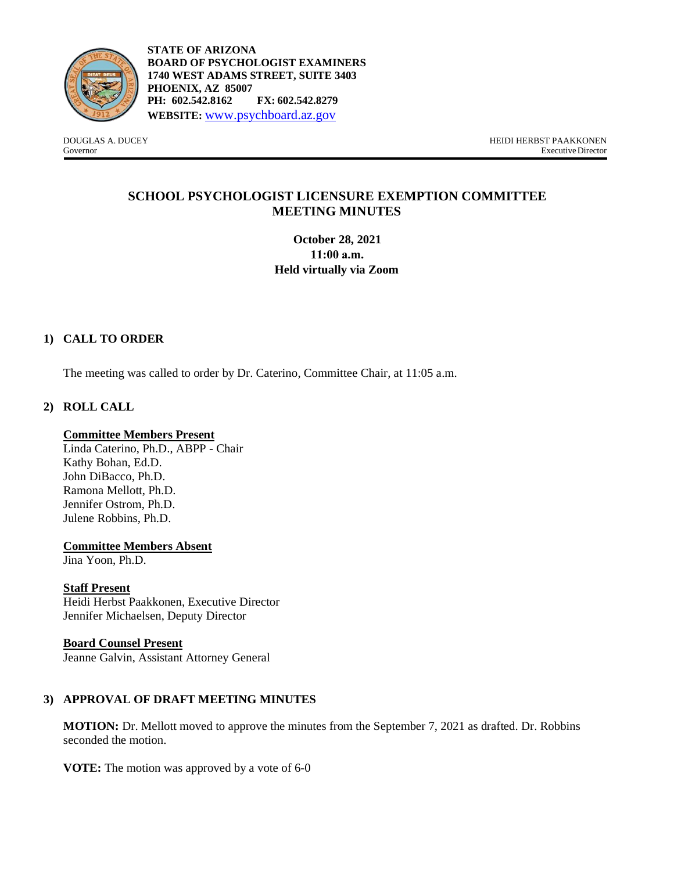

**STATE OF ARIZONA BOARD OF PSYCHOLOGIST EXAMINERS 1740 WEST ADAMS STREET, SUITE 3403 PHOENIX, AZ 85007 PH: 602.542.8162 FX: 602.542.8279 WEBSITE:** [www.psychboard.az.gov](http://www.psychboard.az.gov/)

DOUGLAS A. DUCEY HEIDI HERBST PAAKKONEN Executive Director

## **SCHOOL PSYCHOLOGIST LICENSURE EXEMPTION COMMITTEE MEETING MINUTES**

**October 28, 2021 11:00 a.m. Held virtually via Zoom** 

### **1) CALL TO ORDER**

The meeting was called to order by Dr. Caterino, Committee Chair, at 11:05 a.m.

### **2) ROLL CALL**

#### **Committee Members Present**

Linda Caterino, Ph.D., ABPP - Chair Kathy Bohan, Ed.D. John DiBacco, Ph.D. Ramona Mellott, Ph.D. Jennifer Ostrom, Ph.D. Julene Robbins, Ph.D.

#### **Committee Members Absent**

Jina Yoon, Ph.D.

#### **Staff Present**

Heidi Herbst Paakkonen, Executive Director Jennifer Michaelsen, Deputy Director

### **Board Counsel Present**

Jeanne Galvin, Assistant Attorney General

### **3) APPROVAL OF DRAFT MEETING MINUTES**

**MOTION:** Dr. Mellott moved to approve the minutes from the September 7, 2021 as drafted. Dr. Robbins seconded the motion.

**VOTE:** The motion was approved by a vote of 6-0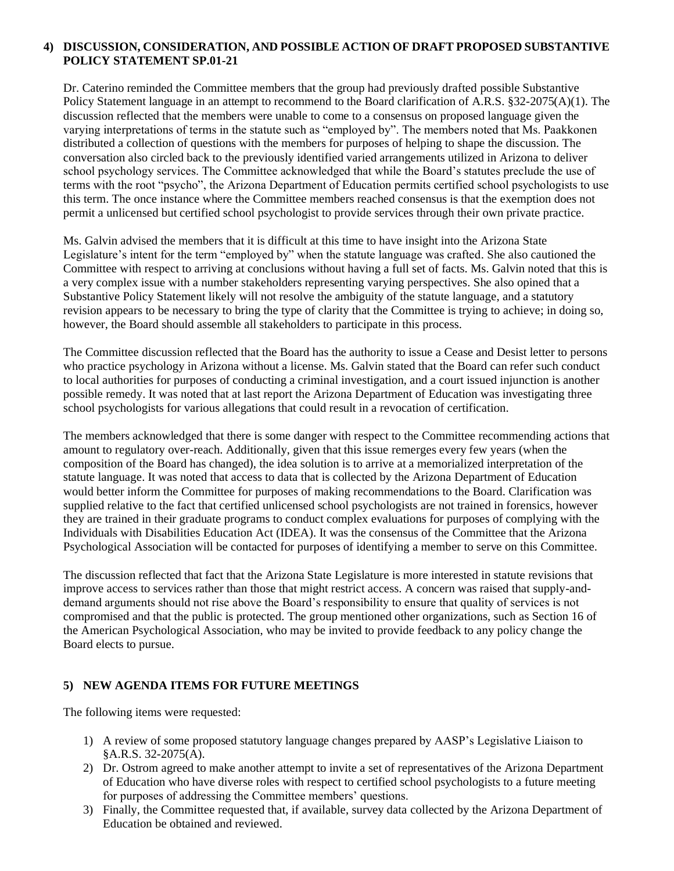#### **4) DISCUSSION, CONSIDERATION, AND POSSIBLE ACTION OF DRAFT PROPOSED SUBSTANTIVE POLICY STATEMENT SP.01-21**

Dr. Caterino reminded the Committee members that the group had previously drafted possible Substantive Policy Statement language in an attempt to recommend to the Board clarification of A.R.S. §32-2075(A)(1). The discussion reflected that the members were unable to come to a consensus on proposed language given the varying interpretations of terms in the statute such as "employed by". The members noted that Ms. Paakkonen distributed a collection of questions with the members for purposes of helping to shape the discussion. The conversation also circled back to the previously identified varied arrangements utilized in Arizona to deliver school psychology services. The Committee acknowledged that while the Board's statutes preclude the use of terms with the root "psycho", the Arizona Department of Education permits certified school psychologists to use this term. The once instance where the Committee members reached consensus is that the exemption does not permit a unlicensed but certified school psychologist to provide services through their own private practice.

Ms. Galvin advised the members that it is difficult at this time to have insight into the Arizona State Legislature's intent for the term "employed by" when the statute language was crafted. She also cautioned the Committee with respect to arriving at conclusions without having a full set of facts. Ms. Galvin noted that this is a very complex issue with a number stakeholders representing varying perspectives. She also opined that a Substantive Policy Statement likely will not resolve the ambiguity of the statute language, and a statutory revision appears to be necessary to bring the type of clarity that the Committee is trying to achieve; in doing so, however, the Board should assemble all stakeholders to participate in this process.

The Committee discussion reflected that the Board has the authority to issue a Cease and Desist letter to persons who practice psychology in Arizona without a license. Ms. Galvin stated that the Board can refer such conduct to local authorities for purposes of conducting a criminal investigation, and a court issued injunction is another possible remedy. It was noted that at last report the Arizona Department of Education was investigating three school psychologists for various allegations that could result in a revocation of certification.

The members acknowledged that there is some danger with respect to the Committee recommending actions that amount to regulatory over-reach. Additionally, given that this issue remerges every few years (when the composition of the Board has changed), the idea solution is to arrive at a memorialized interpretation of the statute language. It was noted that access to data that is collected by the Arizona Department of Education would better inform the Committee for purposes of making recommendations to the Board. Clarification was supplied relative to the fact that certified unlicensed school psychologists are not trained in forensics, however they are trained in their graduate programs to conduct complex evaluations for purposes of complying with the Individuals with Disabilities Education Act (IDEA). It was the consensus of the Committee that the Arizona Psychological Association will be contacted for purposes of identifying a member to serve on this Committee.

The discussion reflected that fact that the Arizona State Legislature is more interested in statute revisions that improve access to services rather than those that might restrict access. A concern was raised that supply-anddemand arguments should not rise above the Board's responsibility to ensure that quality of services is not compromised and that the public is protected. The group mentioned other organizations, such as Section 16 of the American Psychological Association, who may be invited to provide feedback to any policy change the Board elects to pursue.

#### **5) NEW AGENDA ITEMS FOR FUTURE MEETINGS**

The following items were requested:

- 1) A review of some proposed statutory language changes prepared by AASP's Legislative Liaison to §A.R.S. 32-2075(A).
- 2) Dr. Ostrom agreed to make another attempt to invite a set of representatives of the Arizona Department of Education who have diverse roles with respect to certified school psychologists to a future meeting for purposes of addressing the Committee members' questions.
- 3) Finally, the Committee requested that, if available, survey data collected by the Arizona Department of Education be obtained and reviewed.